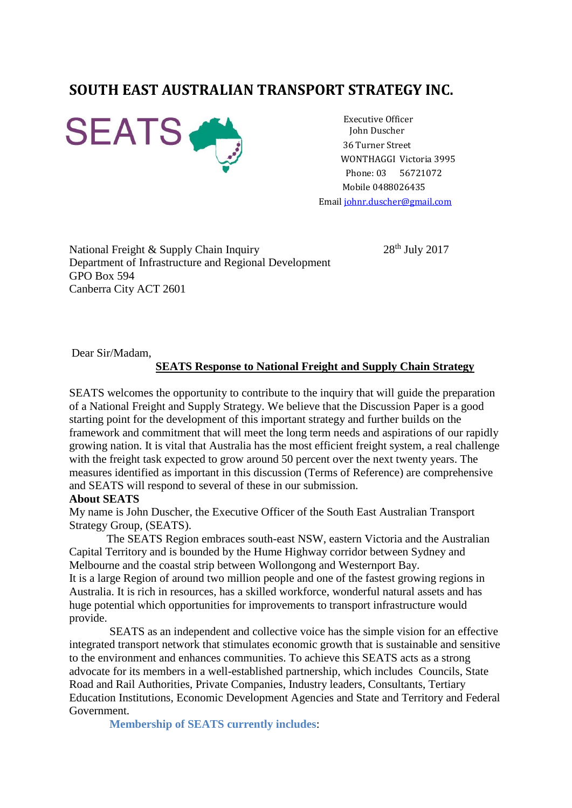# **SOUTH EAST AUSTRALIAN TRANSPORT STRATEGY INC.**



Executive Officer John Duscher 36 Turner Street WONTHAGGI Victoria 3995 Phone: 03 56721072 Mobile 0488026435 Emai[l johnr.duscher@gmail.com](mailto:johnr.duscher@gmail.com)

National Freight & Supply Chain Inquiry 28<sup>th</sup> July 2017 Department of Infrastructure and Regional Development GPO Box 594 Canberra City ACT 2601

Dear Sir/Madam,

#### **SEATS Response to National Freight and Supply Chain Strategy**

SEATS welcomes the opportunity to contribute to the inquiry that will guide the preparation of a National Freight and Supply Strategy. We believe that the Discussion Paper is a good starting point for the development of this important strategy and further builds on the framework and commitment that will meet the long term needs and aspirations of our rapidly growing nation. It is vital that Australia has the most efficient freight system, a real challenge with the freight task expected to grow around 50 percent over the next twenty years. The measures identified as important in this discussion (Terms of Reference) are comprehensive and SEATS will respond to several of these in our submission.

#### **About SEATS**

My name is John Duscher, the Executive Officer of the South East Australian Transport Strategy Group, (SEATS).

 The SEATS Region embraces south-east NSW, eastern Victoria and the Australian Capital Territory and is bounded by the Hume Highway corridor between Sydney and Melbourne and the coastal strip between Wollongong and Westernport Bay. It is a large Region of around two million people and one of the fastest growing regions in Australia. It is rich in resources, has a skilled workforce, wonderful natural assets and has huge potential which opportunities for improvements to transport infrastructure would provide.

 SEATS as an independent and collective voice has the simple vision for an effective integrated transport network that stimulates economic growth that is sustainable and sensitive to the environment and enhances communities. To achieve this SEATS acts as a strong advocate for its members in a well-established partnership, which includes Councils, State Road and Rail Authorities, Private Companies, Industry leaders, Consultants, Tertiary Education Institutions, Economic Development Agencies and State and Territory and Federal Government.

 **Membership of SEATS currently includes**: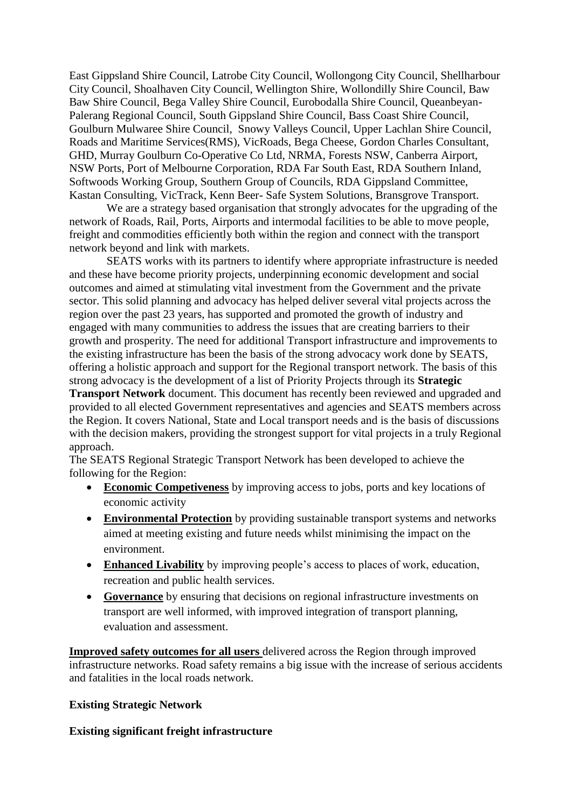East Gippsland Shire Council, Latrobe City Council, Wollongong City Council, Shellharbour City Council, Shoalhaven City Council, Wellington Shire, Wollondilly Shire Council, Baw Baw Shire Council, Bega Valley Shire Council, Eurobodalla Shire Council, Queanbeyan-Palerang Regional Council, South Gippsland Shire Council, Bass Coast Shire Council, Goulburn Mulwaree Shire Council, Snowy Valleys Council, Upper Lachlan Shire Council, Roads and Maritime Services(RMS), VicRoads, Bega Cheese, Gordon Charles Consultant, GHD, Murray Goulburn Co-Operative Co Ltd, NRMA, Forests NSW, Canberra Airport, NSW Ports, Port of Melbourne Corporation, RDA Far South East, RDA Southern Inland, Softwoods Working Group, Southern Group of Councils, RDA Gippsland Committee, Kastan Consulting, VicTrack, Kenn Beer- Safe System Solutions, Bransgrove Transport.

 We are a strategy based organisation that strongly advocates for the upgrading of the network of Roads, Rail, Ports, Airports and intermodal facilities to be able to move people, freight and commodities efficiently both within the region and connect with the transport network beyond and link with markets.

 SEATS works with its partners to identify where appropriate infrastructure is needed and these have become priority projects, underpinning economic development and social outcomes and aimed at stimulating vital investment from the Government and the private sector. This solid planning and advocacy has helped deliver several vital projects across the region over the past 23 years, has supported and promoted the growth of industry and engaged with many communities to address the issues that are creating barriers to their growth and prosperity. The need for additional Transport infrastructure and improvements to the existing infrastructure has been the basis of the strong advocacy work done by SEATS, offering a holistic approach and support for the Regional transport network. The basis of this strong advocacy is the development of a list of Priority Projects through its **Strategic** 

**Transport Network** document. This document has recently been reviewed and upgraded and provided to all elected Government representatives and agencies and SEATS members across the Region. It covers National, State and Local transport needs and is the basis of discussions with the decision makers, providing the strongest support for vital projects in a truly Regional approach.

The SEATS Regional Strategic Transport Network has been developed to achieve the following for the Region:

- **Economic Competiveness** by improving access to jobs, ports and key locations of economic activity
- **Environmental Protection** by providing sustainable transport systems and networks aimed at meeting existing and future needs whilst minimising the impact on the environment.
- **Enhanced Livability** by improving people's access to places of work, education, recreation and public health services.
- **Governance** by ensuring that decisions on regional infrastructure investments on transport are well informed, with improved integration of transport planning, evaluation and assessment.

**Improved safety outcomes for all users** delivered across the Region through improved infrastructure networks. Road safety remains a big issue with the increase of serious accidents and fatalities in the local roads network.

### **Existing Strategic Network**

# **Existing significant freight infrastructure**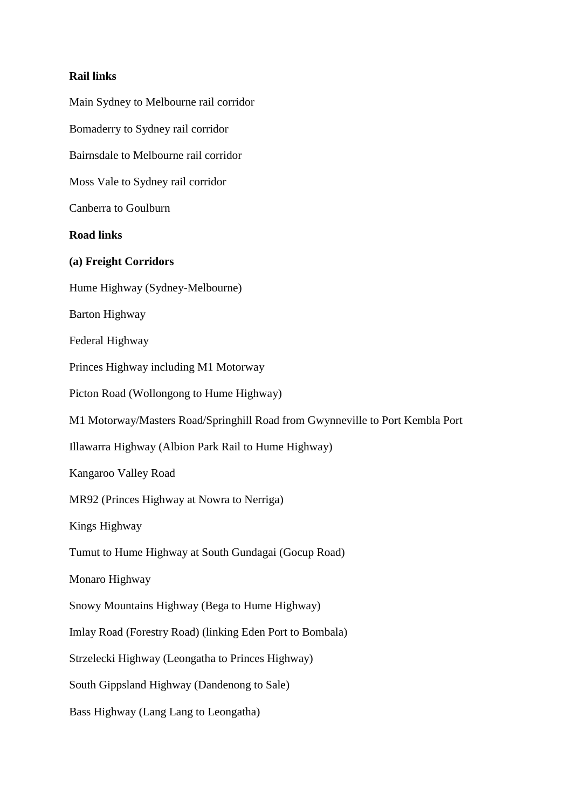### **Rail links**

Main Sydney to Melbourne rail corridor Bomaderry to Sydney rail corridor Bairnsdale to Melbourne rail corridor Moss Vale to Sydney rail corridor Canberra to Goulburn **Road links (a) Freight Corridors**  Hume Highway (Sydney-Melbourne) Barton Highway Federal Highway Princes Highway including M1 Motorway Picton Road (Wollongong to Hume Highway) M1 Motorway/Masters Road/Springhill Road from Gwynneville to Port Kembla Port Illawarra Highway (Albion Park Rail to Hume Highway) Kangaroo Valley Road MR92 (Princes Highway at Nowra to Nerriga) Kings Highway Tumut to Hume Highway at South Gundagai (Gocup Road) Monaro Highway Snowy Mountains Highway (Bega to Hume Highway) Imlay Road (Forestry Road) (linking Eden Port to Bombala) Strzelecki Highway (Leongatha to Princes Highway) South Gippsland Highway (Dandenong to Sale) Bass Highway (Lang Lang to Leongatha)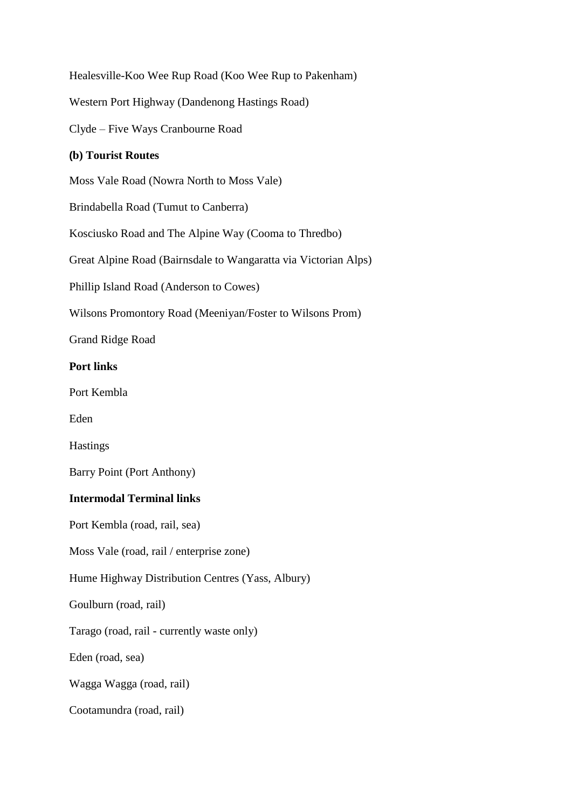Healesville-Koo Wee Rup Road (Koo Wee Rup to Pakenham) Western Port Highway (Dandenong Hastings Road)

Clyde – Five Ways Cranbourne Road

# **(b) Tourist Routes**

Moss Vale Road (Nowra North to Moss Vale)

Brindabella Road (Tumut to Canberra)

Kosciusko Road and The Alpine Way (Cooma to Thredbo)

Great Alpine Road (Bairnsdale to Wangaratta via Victorian Alps)

Phillip Island Road (Anderson to Cowes)

Wilsons Promontory Road (Meeniyan/Foster to Wilsons Prom)

Grand Ridge Road

## **Port links**

Port Kembla

Eden

Hastings

Barry Point (Port Anthony)

## **Intermodal Terminal links**

Port Kembla (road, rail, sea)

Moss Vale (road, rail / enterprise zone)

Hume Highway Distribution Centres (Yass, Albury)

Goulburn (road, rail)

Tarago (road, rail - currently waste only)

Eden (road, sea)

Wagga Wagga (road, rail)

Cootamundra (road, rail)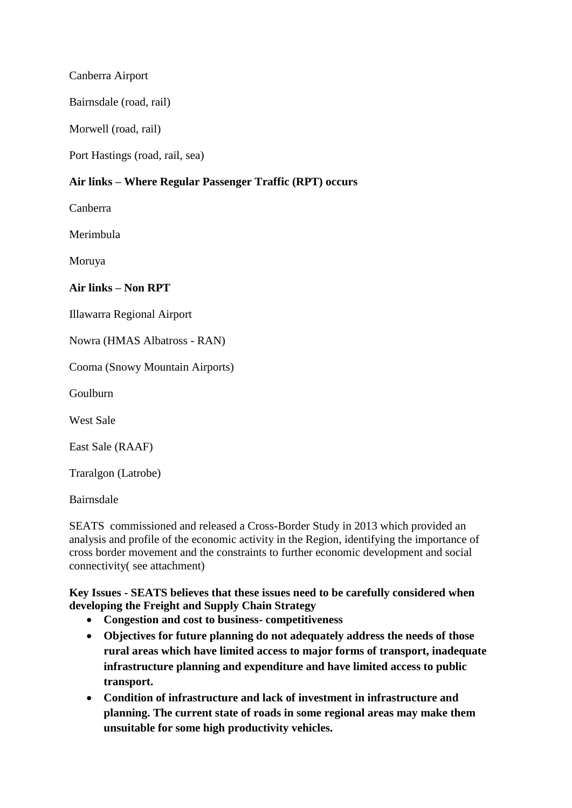Canberra Airport

Bairnsdale (road, rail)

Morwell (road, rail)

Port Hastings (road, rail, sea)

# **Air links – Where Regular Passenger Traffic (RPT) occurs**

Canberra

Merimbula

Moruya

# **Air links – Non RPT**

Illawarra Regional Airport

Nowra (HMAS Albatross - RAN)

Cooma (Snowy Mountain Airports)

Goulburn

West Sale

East Sale (RAAF)

Traralgon (Latrobe)

Bairnsdale

SEATS commissioned and released a Cross-Border Study in 2013 which provided an analysis and profile of the economic activity in the Region, identifying the importance of cross border movement and the constraints to further economic development and social connectivity( see attachment)

**Key Issues - SEATS believes that these issues need to be carefully considered when developing the Freight and Supply Chain Strategy** 

- **Congestion and cost to business- competitiveness**
- **Objectives for future planning do not adequately address the needs of those rural areas which have limited access to major forms of transport, inadequate infrastructure planning and expenditure and have limited access to public transport.**
- **Condition of infrastructure and lack of investment in infrastructure and planning. The current state of roads in some regional areas may make them unsuitable for some high productivity vehicles.**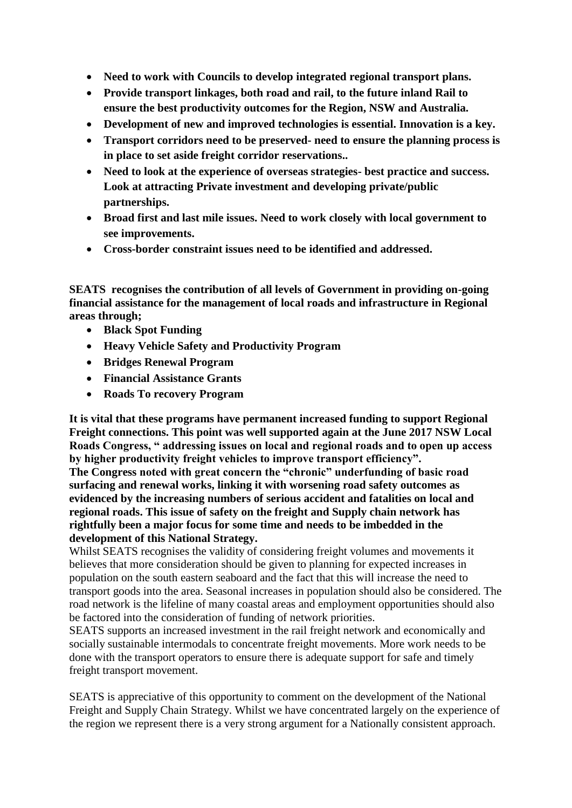- **Need to work with Councils to develop integrated regional transport plans.**
- **Provide transport linkages, both road and rail, to the future inland Rail to ensure the best productivity outcomes for the Region, NSW and Australia.**
- **Development of new and improved technologies is essential. Innovation is a key.**
- **Transport corridors need to be preserved- need to ensure the planning process is in place to set aside freight corridor reservations..**
- **Need to look at the experience of overseas strategies- best practice and success. Look at attracting Private investment and developing private/public partnerships.**
- **Broad first and last mile issues. Need to work closely with local government to see improvements.**
- **Cross-border constraint issues need to be identified and addressed.**

**SEATS recognises the contribution of all levels of Government in providing on-going financial assistance for the management of local roads and infrastructure in Regional areas through;**

- **Black Spot Funding**
- **Heavy Vehicle Safety and Productivity Program**
- **Bridges Renewal Program**
- **Financial Assistance Grants**
- **Roads To recovery Program**

**It is vital that these programs have permanent increased funding to support Regional Freight connections. This point was well supported again at the June 2017 NSW Local Roads Congress, " addressing issues on local and regional roads and to open up access by higher productivity freight vehicles to improve transport efficiency".**

**The Congress noted with great concern the "chronic" underfunding of basic road surfacing and renewal works, linking it with worsening road safety outcomes as evidenced by the increasing numbers of serious accident and fatalities on local and regional roads. This issue of safety on the freight and Supply chain network has rightfully been a major focus for some time and needs to be imbedded in the development of this National Strategy.**

Whilst SEATS recognises the validity of considering freight volumes and movements it believes that more consideration should be given to planning for expected increases in population on the south eastern seaboard and the fact that this will increase the need to transport goods into the area. Seasonal increases in population should also be considered. The road network is the lifeline of many coastal areas and employment opportunities should also be factored into the consideration of funding of network priorities.

SEATS supports an increased investment in the rail freight network and economically and socially sustainable intermodals to concentrate freight movements. More work needs to be done with the transport operators to ensure there is adequate support for safe and timely freight transport movement.

SEATS is appreciative of this opportunity to comment on the development of the National Freight and Supply Chain Strategy. Whilst we have concentrated largely on the experience of the region we represent there is a very strong argument for a Nationally consistent approach.